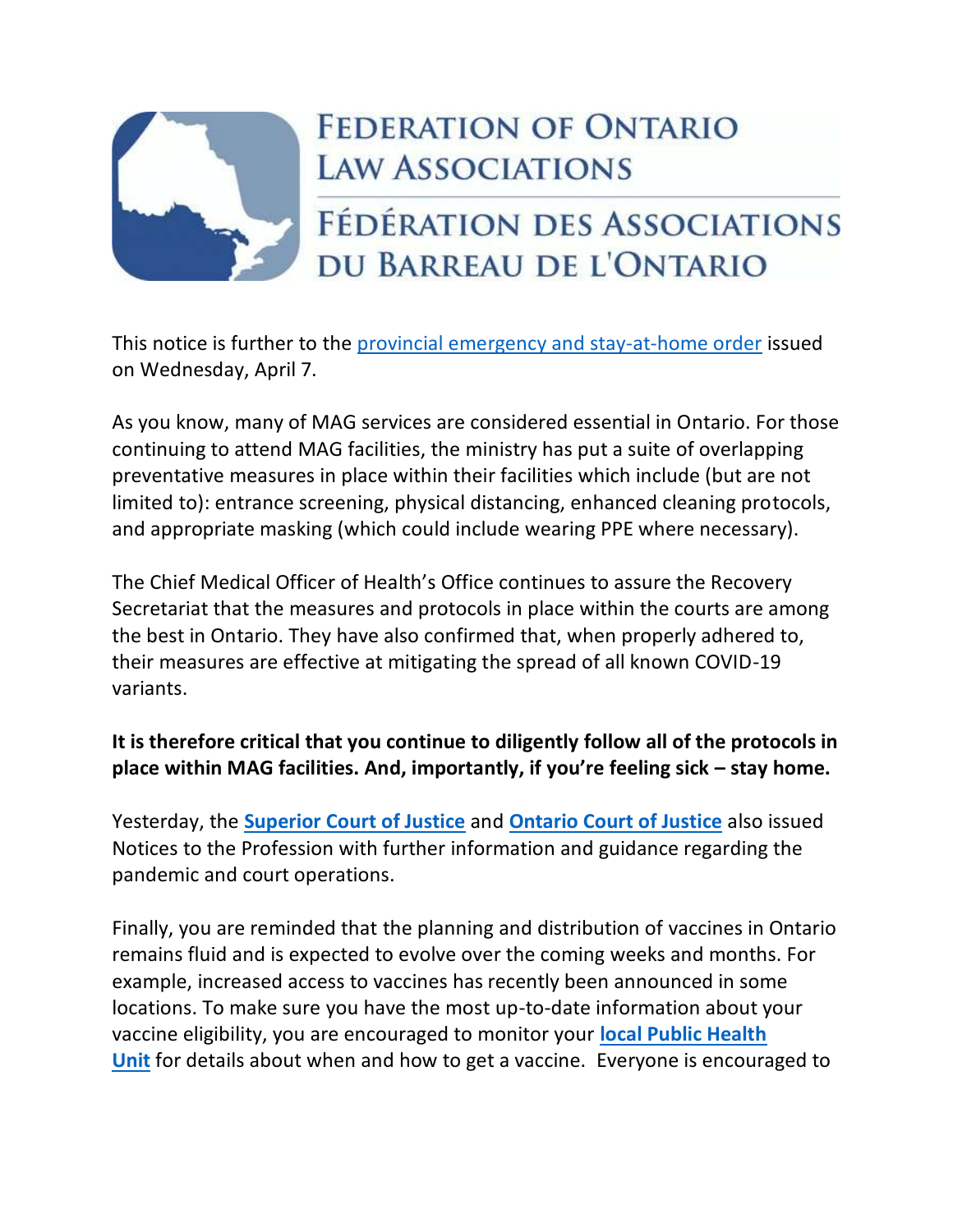

## **FEDERATION OF ONTARIO LAW ASSOCIATIONS**

## FÉDÉRATION DES ASSOCIATIONS DU BARREAU DE L'ONTARIO

This notice is further to the [provincial emergency and stay-at-home order](https://news.ontario.ca/en/release/61029/ontario-enacts-provincial-emergency-and-stay-at-home-order) issued on Wednesday, April 7.

As you know, many of MAG services are considered essential in Ontario. For those continuing to attend MAG facilities, the ministry has put a suite of overlapping preventative measures in place within their facilities which include (but are not limited to): entrance screening, physical distancing, enhanced cleaning protocols, and appropriate masking (which could include wearing PPE where necessary).

The Chief Medical Officer of Health's Office continues to assure the Recovery Secretariat that the measures and protocols in place within the courts are among the best in Ontario. They have also confirmed that, when properly adhered to, their measures are effective at mitigating the spread of all known COVID-19 variants.

## **It is therefore critical that you continue to diligently follow all of the protocols in place within MAG facilities. And, importantly, if you're feeling sick – stay home.**

Yesterday, the **[Superior Court of Justice](https://www.ontariocourts.ca/scj/notices-and-orders-covid-19/notice-to-the-profession-and-public-december-22-2020/)** and **[Ontario Court of Justice](https://www.ontariocourts.ca/ocj/)** also issued Notices to the Profession with further information and guidance regarding the pandemic and court operations.

Finally, you are reminded that the planning and distribution of vaccines in Ontario remains fluid and is expected to evolve over the coming weeks and months. For example, increased access to vaccines has recently been announced in some locations. To make sure you have the most up-to-date information about your vaccine eligibility, you are encouraged to monitor your **[local Public Health](https://www.phdapps.health.gov.on.ca/phulocator/)  [Unit](https://www.phdapps.health.gov.on.ca/phulocator/)** for details about when and how to get a vaccine. Everyone is encouraged to